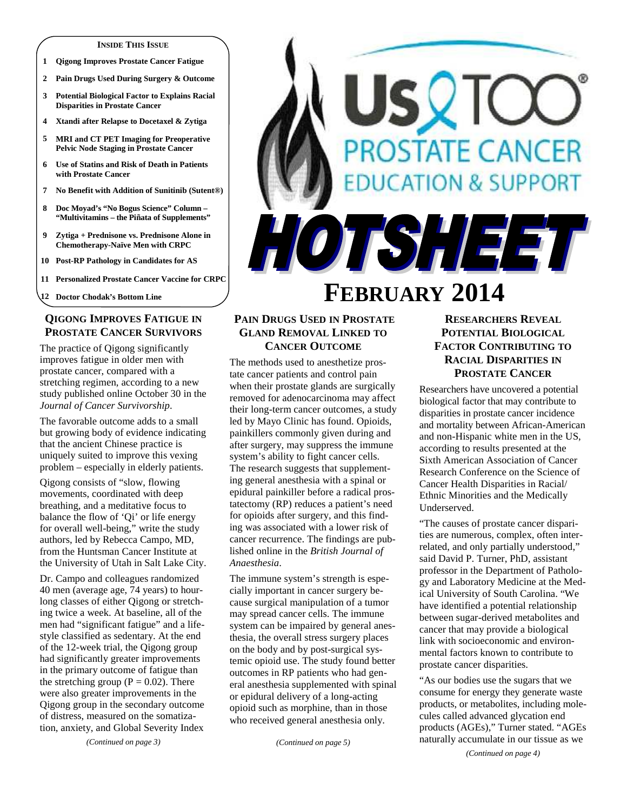#### **INSIDE THIS ISSUE**

- **1 Qigong Improves Prostate Cancer Fatigue**
- **2 Pain Drugs Used During Surgery & Outcome**
- **3 Potential Biological Factor to Explains Racial Disparities in Prostate Cancer**
- **4 Xtandi after Relapse to Docetaxel & Zytiga**
- **5 MRI and CT PET Imaging for Preoperative Pelvic Node Staging in Prostate Cancer**
- **6 Use of Statins and Risk of Death in Patients with Prostate Cancer**
- **7 No Benefit with Addition of Sunitinib (Sutent®)**
- **8 Doc Moyad's "No Bogus Science" Column "Multivitamins – the Piñata of Supplements"**
- **9 Zytiga + Prednisone vs. Prednisone Alone in Chemotherapy-Naïve Men with CRPC**
- **10 Post-RP Pathology in Candidates for AS**
- **11 Personalized Prostate Cancer Vaccine for CRPC**

**12 Doctor Chodak's Bottom Line** 

# **QIGONG IMPROVES FATIGUE IN PROSTATE CANCER SURVIVORS**

The practice of Qigong significantly improves fatigue in older men with prostate cancer, compared with a stretching regimen, according to a new study published online October 30 in the *Journal of Cancer Survivorship*.

The favorable outcome adds to a small but growing body of evidence indicating that the ancient Chinese practice is uniquely suited to improve this vexing problem – especially in elderly patients.

Qigong consists of "slow, flowing movements, coordinated with deep breathing, and a meditative focus to balance the flow of 'Qi' or life energy for overall well-being," write the study authors, led by Rebecca Campo, MD, from the Huntsman Cancer Institute at the University of Utah in Salt Lake City.

Dr. Campo and colleagues randomized 40 men (average age, 74 years) to hourlong classes of either Qigong or stretching twice a week. At baseline, all of the men had "significant fatigue" and a lifestyle classified as sedentary. At the end of the 12-week trial, the Qigong group had significantly greater improvements in the primary outcome of fatigue than the stretching group ( $P = 0.02$ ). There were also greater improvements in the Qigong group in the secondary outcome of distress, measured on the somatization, anxiety, and Global Severity Index

**OSTATE CANCER ATION & SUPPORT** HOTSHEET

# **FEBRUARY 2014**

# **PAIN DRUGS USED IN PROSTATE GLAND REMOVAL LINKED TO CANCER OUTCOME**

The methods used to anesthetize prostate cancer patients and control pain when their prostate glands are surgically removed for adenocarcinoma may affect their long-term cancer outcomes, a study led by Mayo Clinic has found. Opioids, painkillers commonly given during and after surgery, may suppress the immune system's ability to fight cancer cells. The research suggests that supplementing general anesthesia with a spinal or epidural painkiller before a radical prostatectomy (RP) reduces a patient's need for opioids after surgery, and this finding was associated with a lower risk of cancer recurrence. The findings are published online in the *British Journal of Anaesthesia*.

The immune system's strength is especially important in cancer surgery because surgical manipulation of a tumor may spread cancer cells. The immune system can be impaired by general anesthesia, the overall stress surgery places on the body and by post-surgical systemic opioid use. The study found better outcomes in RP patients who had general anesthesia supplemented with spinal or epidural delivery of a long-acting opioid such as morphine, than in those who received general anesthesia only.

*(Continued on page 5)* 

# **RESEARCHERS REVEAL POTENTIAL BIOLOGICAL FACTOR CONTRIBUTING TO RACIAL DISPARITIES IN PROSTATE CANCER**

Researchers have uncovered a potential biological factor that may contribute to disparities in prostate cancer incidence and mortality between African-American and non-Hispanic white men in the US, according to results presented at the Sixth American Association of Cancer Research Conference on the Science of Cancer Health Disparities in Racial/ Ethnic Minorities and the Medically Underserved.

"The causes of prostate cancer disparities are numerous, complex, often interrelated, and only partially understood," said David P. Turner, PhD, assistant professor in the Department of Pathology and Laboratory Medicine at the Medical University of South Carolina. "We have identified a potential relationship between sugar-derived metabolites and cancer that may provide a biological link with socioeconomic and environmental factors known to contribute to prostate cancer disparities.

"As our bodies use the sugars that we consume for energy they generate waste products, or metabolites, including molecules called advanced glycation end products (AGEs)," Turner stated. "AGEs naturally accumulate in our tissue as we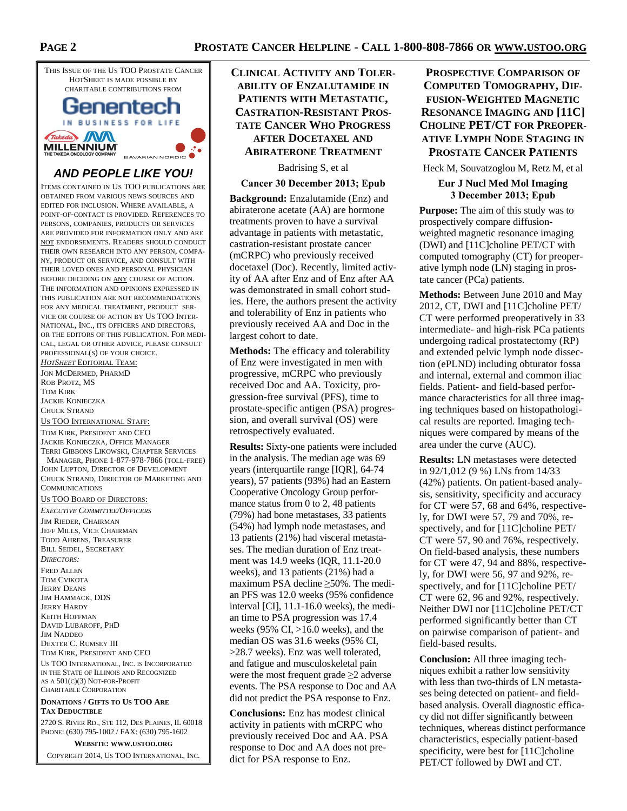

# **AND PEOPLE LIKE YOU!**

ITEMS CONTAINED IN US TOO PUBLICATIONS ARE OBTAINED FROM VARIOUS NEWS SOURCES AND EDITED FOR INCLUSION. WHERE AVAILABLE, A POINT-OF-CONTACT IS PROVIDED. REFERENCES TO PERSONS, COMPANIES, PRODUCTS OR SERVICES ARE PROVIDED FOR INFORMATION ONLY AND ARE NOT ENDORSEMENTS. READERS SHOULD CONDUCT THEIR OWN RESEARCH INTO ANY PERSON, COMPA-NY, PRODUCT OR SERVICE, AND CONSULT WITH THEIR LOVED ONES AND PERSONAL PHYSICIAN BEFORE DECIDING ON ANY COURSE OF ACTION. THE INFORMATION AND OPINIONS EXPRESSED IN THIS PUBLICATION ARE NOT RECOMMENDATIONS FOR ANY MEDICAL TREATMENT, PRODUCT SER-VICE OR COURSE OF ACTION BY US TOO INTER-NATIONAL, INC., ITS OFFICERS AND DIRECTORS, OR THE EDITORS OF THIS PUBLICATION. FOR MEDI-CAL, LEGAL OR OTHER ADVICE, PLEASE CONSULT PROFESSIONAL(S) OF YOUR CHOICE.

*HOTSHEET* EDITORIAL TEAM: JON MCDERMED, PHARMD ROB PROTZ, MS TOM KIRK JACKIE KONIECZKA CHUCK STRAND

US TOO INTERNATIONAL STAFF: TOM KIRK, PRESIDENT AND CEO JACKIE KONIECZKA, OFFICE MANAGER TERRI GIBBONS LIKOWSKI, CHAPTER SERVICES MANAGER, PHONE 1-877-978-7866 (TOLL-FREE) JOHN LUPTON, DIRECTOR OF DEVELOPMENT CHUCK STRAND, DIRECTOR OF MARKETING AND COMMUNICATIONS

#### US TOO BOARD OF DIRECTORS:

*EXECUTIVE COMMITTEE/OFFICERS* JIM RIEDER, CHAIRMAN JEFF MILLS, VICE CHAIRMAN TODD AHRENS, TREASURER BILL SEIDEL, SECRETARY *DIRECTORS:*  FRED ALLEN TOM CVIKOTA JERRY DEANS JIM HAMMACK, DDS JERRY HARDY KEITH HOFFMAN DAVID LUBAROFF, PHD JIM NADDEO DEXTER C. RUMSEY III TOM KIRK, PRESIDENT AND CEO US TOO INTERNATIONAL, INC. IS INCORPORATED IN THE STATE OF ILLINOIS AND RECOGNIZED AS A 501(C)(3) NOT-FOR-PROFIT CHARITABLE CORPORATION

#### **DONATIONS / GIFTS TO US TOO ARE TAX DEDUCTIBLE**

2720 S. RIVER RD., STE 112, DES PLAINES, IL 60018 PHONE: (630) 795-1002 / FAX: (630) 795-1602

**WEBSITE: WWW.USTOO.ORG** COPYRIGHT 2014, US TOO INTERNATIONAL, INC.

# **CLINICAL ACTIVITY AND TOLER-ABILITY OF ENZALUTAMIDE IN PATIENTS WITH METASTATIC, CASTRATION-RESISTANT PROS-TATE CANCER WHO PROGRESS AFTER DOCETAXEL AND ABIRATERONE TREATMENT**

Badrising S, et al

#### **Cancer 30 December 2013; Epub**

**Background:** Enzalutamide (Enz) and abiraterone acetate (AA) are hormone treatments proven to have a survival advantage in patients with metastatic, castration-resistant prostate cancer (mCRPC) who previously received docetaxel (Doc). Recently, limited activity of AA after Enz and of Enz after AA was demonstrated in small cohort studies. Here, the authors present the activity and tolerability of Enz in patients who previously received AA and Doc in the largest cohort to date.

**Methods:** The efficacy and tolerability of Enz were investigated in men with progressive, mCRPC who previously received Doc and AA. Toxicity, progression-free survival (PFS), time to prostate-specific antigen (PSA) progression, and overall survival (OS) were retrospectively evaluated.

**Results:** Sixty-one patients were included in the analysis. The median age was 69 years (interquartile range [IQR], 64-74 years), 57 patients (93%) had an Eastern Cooperative Oncology Group performance status from 0 to 2, 48 patients (79%) had bone metastases, 33 patients (54%) had lymph node metastases, and 13 patients (21%) had visceral metastases. The median duration of Enz treatment was 14.9 weeks (IQR, 11.1-20.0 weeks), and 13 patients (21%) had a maximum PSA decline ≥50%. The median PFS was 12.0 weeks (95% confidence interval [CI], 11.1-16.0 weeks), the median time to PSA progression was 17.4 weeks (95% CI,  $>16.0$  weeks), and the median OS was 31.6 weeks (95% CI, >28.7 weeks). Enz was well tolerated, and fatigue and musculoskeletal pain were the most frequent grade ≥2 adverse events. The PSA response to Doc and AA did not predict the PSA response to Enz.

**Conclusions:** Enz has modest clinical activity in patients with mCRPC who previously received Doc and AA. PSA response to Doc and AA does not predict for PSA response to Enz.

**PROSPECTIVE COMPARISON OF COMPUTED TOMOGRAPHY, DIF-FUSION-WEIGHTED MAGNETIC RESONANCE IMAGING AND [11C] CHOLINE PET/CT FOR PREOPER-ATIVE LYMPH NODE STAGING IN PROSTATE CANCER PATIENTS**

Heck M, Souvatzoglou M, Retz M, et al

#### **Eur J Nucl Med Mol Imaging 3 December 2013; Epub**

**Purpose:** The aim of this study was to prospectively compare diffusionweighted magnetic resonance imaging (DWI) and [11C]choline PET/CT with computed tomography (CT) for preoperative lymph node (LN) staging in prostate cancer (PCa) patients.

**Methods:** Between June 2010 and May 2012, CT, DWI and [11C]choline PET/ CT were performed preoperatively in 33 intermediate- and high-risk PCa patients undergoing radical prostatectomy (RP) and extended pelvic lymph node dissection (ePLND) including obturator fossa and internal, external and common iliac fields. Patient- and field-based performance characteristics for all three imaging techniques based on histopathological results are reported. Imaging techniques were compared by means of the area under the curve (AUC).

**Results:** LN metastases were detected in 92/1,012 (9 %) LNs from 14/33 (42%) patients. On patient-based analysis, sensitivity, specificity and accuracy for CT were 57, 68 and 64%, respectively, for DWI were 57, 79 and 70%, respectively, and for [11C]choline PET/ CT were 57, 90 and 76%, respectively. On field-based analysis, these numbers for CT were 47, 94 and 88%, respectively, for DWI were 56, 97 and 92%, respectively, and for [11C]choline PET/ CT were 62, 96 and 92%, respectively. Neither DWI nor [11C]choline PET/CT performed significantly better than CT on pairwise comparison of patient- and field-based results.

**Conclusion:** All three imaging techniques exhibit a rather low sensitivity with less than two-thirds of LN metastases being detected on patient- and fieldbased analysis. Overall diagnostic efficacy did not differ significantly between techniques, whereas distinct performance characteristics, especially patient-based specificity, were best for [11C]choline PET/CT followed by DWI and CT.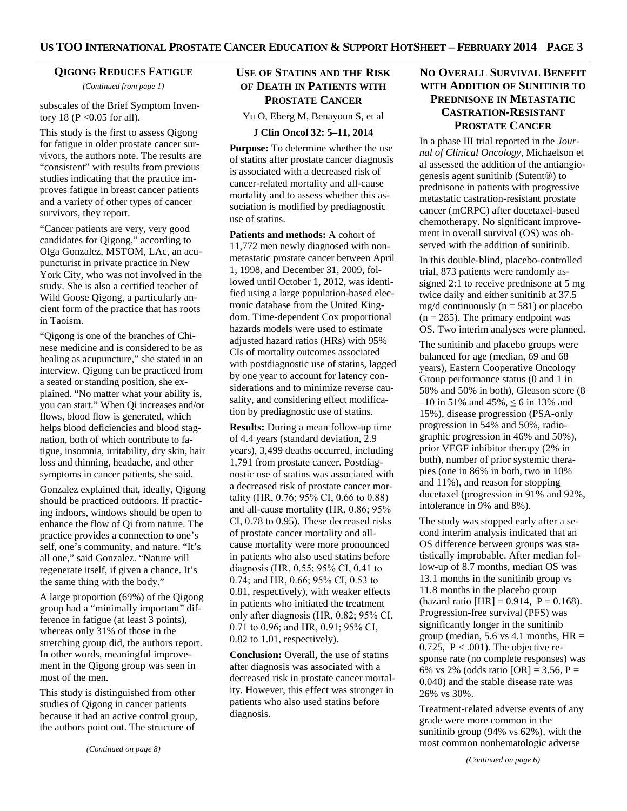## **QIGONG REDUCES FATIGUE**

*(Continued from page 1)* 

subscales of the Brief Symptom Inventory 18 ( $P \le 0.05$  for all).

This study is the first to assess Qigong for fatigue in older prostate cancer survivors, the authors note. The results are "consistent" with results from previous studies indicating that the practice improves fatigue in breast cancer patients and a variety of other types of cancer survivors, they report.

"Cancer patients are very, very good candidates for Qigong," according to Olga Gonzalez, MSTOM, LAc, an acupuncturist in private practice in New York City, who was not involved in the study. She is also a certified teacher of Wild Goose Qigong, a particularly ancient form of the practice that has roots in Taoism.

"Qigong is one of the branches of Chinese medicine and is considered to be as healing as acupuncture," she stated in an interview. Qigong can be practiced from a seated or standing position, she explained. "No matter what your ability is, you can start." When Qi increases and/or flows, blood flow is generated, which helps blood deficiencies and blood stagnation, both of which contribute to fatigue, insomnia, irritability, dry skin, hair loss and thinning, headache, and other symptoms in cancer patients, she said.

Gonzalez explained that, ideally, Qigong should be practiced outdoors. If practicing indoors, windows should be open to enhance the flow of Qi from nature. The practice provides a connection to one's self, one's community, and nature. "It's all one," said Gonzalez. "Nature will regenerate itself, if given a chance. It's the same thing with the body."

A large proportion (69%) of the Qigong group had a "minimally important" difference in fatigue (at least 3 points), whereas only 31% of those in the stretching group did, the authors report. In other words, meaningful improvement in the Qigong group was seen in most of the men.

This study is distinguished from other studies of Qigong in cancer patients because it had an active control group, the authors point out. The structure of

## **USE OF STATINS AND THE RISK OF DEATH IN PATIENTS WITH PROSTATE CANCER**

Yu O, Eberg M, Benayoun S, et al

#### **J Clin Oncol 32: 5–11, 2014**

**Purpose:** To determine whether the use of statins after prostate cancer diagnosis is associated with a decreased risk of cancer-related mortality and all-cause mortality and to assess whether this association is modified by prediagnostic use of statins.

**Patients and methods:** A cohort of 11,772 men newly diagnosed with nonmetastatic prostate cancer between April 1, 1998, and December 31, 2009, followed until October 1, 2012, was identified using a large population-based electronic database from the United Kingdom. Time-dependent Cox proportional hazards models were used to estimate adjusted hazard ratios (HRs) with 95% CIs of mortality outcomes associated with postdiagnostic use of statins, lagged by one year to account for latency considerations and to minimize reverse causality, and considering effect modification by prediagnostic use of statins.

**Results:** During a mean follow-up time of 4.4 years (standard deviation, 2.9 years), 3,499 deaths occurred, including 1,791 from prostate cancer. Postdiagnostic use of statins was associated with a decreased risk of prostate cancer mortality (HR, 0.76; 95% CI, 0.66 to 0.88) and all-cause mortality (HR, 0.86; 95% CI, 0.78 to 0.95). These decreased risks of prostate cancer mortality and allcause mortality were more pronounced in patients who also used statins before diagnosis (HR, 0.55; 95% CI, 0.41 to 0.74; and HR, 0.66; 95% CI, 0.53 to 0.81, respectively), with weaker effects in patients who initiated the treatment only after diagnosis (HR, 0.82; 95% CI, 0.71 to 0.96; and HR, 0.91; 95% CI, 0.82 to 1.01, respectively).

**Conclusion:** Overall, the use of statins after diagnosis was associated with a decreased risk in prostate cancer mortality. However, this effect was stronger in patients who also used statins before diagnosis.

# **NO OVERALL SURVIVAL BENEFIT WITH ADDITION OF SUNITINIB TO PREDNISONE IN METASTATIC CASTRATION-RESISTANT PROSTATE CANCER**

In a phase III trial reported in the *Journal of Clinical Oncology*, Michaelson et al assessed the addition of the antiangiogenesis agent sunitinib (Sutent®) to prednisone in patients with progressive metastatic castration-resistant prostate cancer (mCRPC) after docetaxel-based chemotherapy. No significant improvement in overall survival (OS) was observed with the addition of sunitinib.

In this double-blind, placebo-controlled trial, 873 patients were randomly assigned 2:1 to receive prednisone at 5 mg twice daily and either sunitinib at 37.5 mg/d continuously  $(n = 581)$  or placebo  $(n = 285)$ . The primary endpoint was OS. Two interim analyses were planned.

The sunitinib and placebo groups were balanced for age (median, 69 and 68 years), Eastern Cooperative Oncology Group performance status (0 and 1 in 50% and 50% in both), Gleason score (8 –10 in 51% and 45%,  $\leq 6$  in 13% and 15%), disease progression (PSA-only progression in 54% and 50%, radiographic progression in 46% and 50%), prior VEGF inhibitor therapy (2% in both), number of prior systemic therapies (one in 86% in both, two in 10% and 11%), and reason for stopping docetaxel (progression in 91% and 92%, intolerance in 9% and 8%).

The study was stopped early after a second interim analysis indicated that an OS difference between groups was statistically improbable. After median follow-up of 8.7 months, median OS was 13.1 months in the sunitinib group vs 11.8 months in the placebo group (hazard ratio [HR] =  $0.914$ , P =  $0.168$ ). Progression-free survival (PFS) was significantly longer in the sunitinib group (median,  $5.6$  vs 4.1 months, HR = 0.725,  $P < .001$ ). The objective response rate (no complete responses) was 6% vs 2% (odds ratio  $[OR] = 3.56$ , P = 0.040) and the stable disease rate was 26% vs 30%.

Treatment-related adverse events of any grade were more common in the sunitinib group (94% vs 62%), with the most common nonhematologic adverse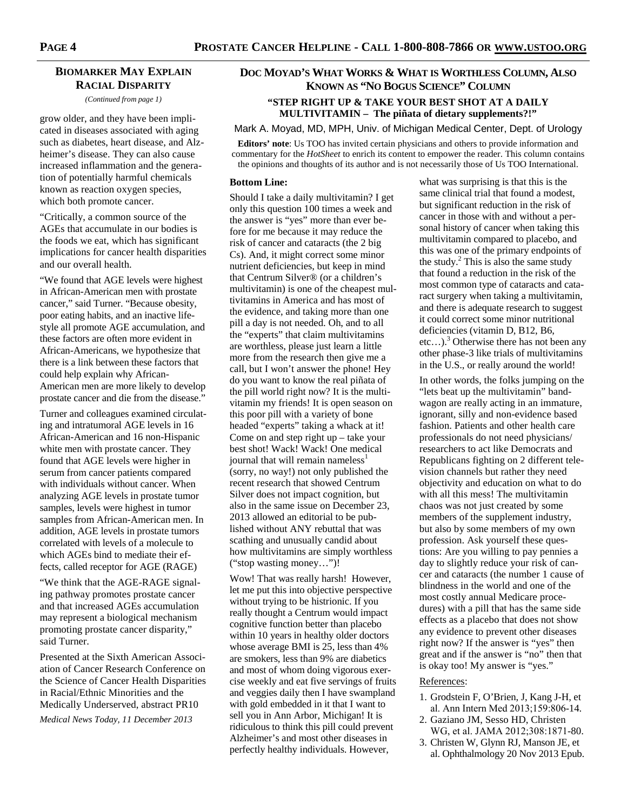## **BIOMARKER MAY EXPLAIN RACIAL DISPARITY**

*(Continued from page 1)* 

grow older, and they have been implicated in diseases associated with aging such as diabetes, heart disease, and Alzheimer's disease. They can also cause increased inflammation and the generation of potentially harmful chemicals known as reaction oxygen species, which both promote cancer.

"Critically, a common source of the AGEs that accumulate in our bodies is the foods we eat, which has significant implications for cancer health disparities and our overall health.

"We found that AGE levels were highest in African-American men with prostate cancer," said Turner. "Because obesity, poor eating habits, and an inactive lifestyle all promote AGE accumulation, and these factors are often more evident in African-Americans, we hypothesize that there is a link between these factors that could help explain why African-American men are more likely to develop prostate cancer and die from the disease."

Turner and colleagues examined circulating and intratumoral AGE levels in 16 African-American and 16 non-Hispanic white men with prostate cancer. They found that AGE levels were higher in serum from cancer patients compared with individuals without cancer. When analyzing AGE levels in prostate tumor samples, levels were highest in tumor samples from African-American men. In addition, AGE levels in prostate tumors correlated with levels of a molecule to which AGEs bind to mediate their effects, called receptor for AGE (RAGE)

"We think that the AGE-RAGE signaling pathway promotes prostate cancer and that increased AGEs accumulation may represent a biological mechanism promoting prostate cancer disparity," said Turner.

Presented at the Sixth American Association of Cancer Research Conference on the Science of Cancer Health Disparities in Racial/Ethnic Minorities and the Medically Underserved, abstract PR10 *Medical News Today, 11 December 2013* 

# **DOC MOYAD'S WHAT WORKS & WHAT IS WORTHLESS COLUMN, ALSO KNOWN AS "NO BOGUS SCIENCE" COLUMN "STEP RIGHT UP & TAKE YOUR BEST SHOT AT A DAILY MULTIVITAMIN – The piñata of dietary supplements?!"**

Mark A. Moyad, MD, MPH, Univ. of Michigan Medical Center, Dept. of Urology

**Editors' note**: Us TOO has invited certain physicians and others to provide information and commentary for the *HotSheet* to enrich its content to empower the reader. This column contains the opinions and thoughts of its author and is not necessarily those of Us TOO International.

#### **Bottom Line:**

Should I take a daily multivitamin? I get only this question 100 times a week and the answer is "yes" more than ever before for me because it may reduce the risk of cancer and cataracts (the 2 big Cs). And, it might correct some minor nutrient deficiencies, but keep in mind that Centrum Silver® (or a children's multivitamin) is one of the cheapest multivitamins in America and has most of the evidence, and taking more than one pill a day is not needed. Oh, and to all the "experts" that claim multivitamins are worthless, please just learn a little more from the research then give me a call, but I won't answer the phone! Hey do you want to know the real piñata of the pill world right now? It is the multivitamin my friends! It is open season on this poor pill with a variety of bone headed "experts" taking a whack at it! Come on and step right up – take your best shot! Wack! Wack! One medical journal that will remain nameless<sup>1</sup> (sorry, no way!) not only published the recent research that showed Centrum Silver does not impact cognition, but also in the same issue on December 23, 2013 allowed an editorial to be published without ANY rebuttal that was scathing and unusually candid about how multivitamins are simply worthless ("stop wasting money…")!

Wow! That was really harsh! However, let me put this into objective perspective without trying to be histrionic. If you really thought a Centrum would impact cognitive function better than placebo within 10 years in healthy older doctors whose average BMI is 25, less than 4% are smokers, less than 9% are diabetics and most of whom doing vigorous exercise weekly and eat five servings of fruits and veggies daily then I have swampland with gold embedded in it that I want to sell you in Ann Arbor, Michigan! It is ridiculous to think this pill could prevent Alzheimer's and most other diseases in perfectly healthy individuals. However,

what was surprising is that this is the same clinical trial that found a modest, but significant reduction in the risk of cancer in those with and without a personal history of cancer when taking this multivitamin compared to placebo, and this was one of the primary endpoints of the study.<sup>2</sup> This is also the same study that found a reduction in the risk of the most common type of cataracts and cataract surgery when taking a multivitamin, and there is adequate research to suggest it could correct some minor nutritional deficiencies (vitamin D, B12, B6, etc...).<sup>3</sup> Otherwise there has not been any other phase-3 like trials of multivitamins in the U.S., or really around the world!

In other words, the folks jumping on the "lets beat up the multivitamin" bandwagon are really acting in an immature, ignorant, silly and non-evidence based fashion. Patients and other health care professionals do not need physicians/ researchers to act like Democrats and Republicans fighting on 2 different television channels but rather they need objectivity and education on what to do with all this mess! The multivitamin chaos was not just created by some members of the supplement industry, but also by some members of my own profession. Ask yourself these questions: Are you willing to pay pennies a day to slightly reduce your risk of cancer and cataracts (the number 1 cause of blindness in the world and one of the most costly annual Medicare procedures) with a pill that has the same side effects as a placebo that does not show any evidence to prevent other diseases right now? If the answer is "yes" then great and if the answer is "no" then that is okay too! My answer is "yes."

#### References:

- 1. Grodstein F, O'Brien, J, Kang J-H, et al. Ann Intern Med 2013;159:806-14.
- 2. Gaziano JM, Sesso HD, Christen WG, et al. JAMA 2012;308:1871-80.
- 3. Christen W, Glynn RJ, Manson JE, et al. Ophthalmology 20 Nov 2013 Epub.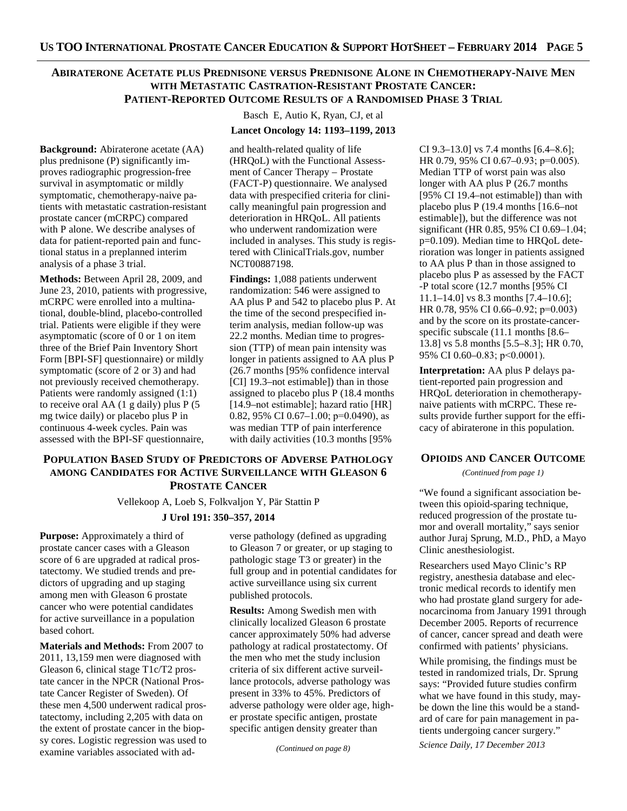# **ABIRATERONE ACETATE PLUS PREDNISONE VERSUS PREDNISONE ALONE IN CHEMOTHERAPY-NAIVE MEN WITH METASTATIC CASTRATION-RESISTANT PROSTATE CANCER:**

**PATIENT-REPORTED OUTCOME RESULTS OF A RANDOMISED PHASE 3 TRIAL**

Basch E, Autio K, Ryan, CJ, et al

## **Lancet Oncology 14: 1193–1199, 2013**

**Background:** Abiraterone acetate (AA) plus prednisone (P) significantly improves radiographic progression-free survival in asymptomatic or mildly symptomatic, chemotherapy-naive patients with metastatic castration-resistant prostate cancer (mCRPC) compared with P alone. We describe analyses of data for patient-reported pain and functional status in a preplanned interim analysis of a phase 3 trial.

**Methods:** Between April 28, 2009, and June 23, 2010, patients with progressive, mCRPC were enrolled into a multinational, double-blind, placebo-controlled trial. Patients were eligible if they were asymptomatic (score of 0 or 1 on item three of the Brief Pain Inventory Short Form [BPI-SF] questionnaire) or mildly symptomatic (score of 2 or 3) and had not previously received chemotherapy. Patients were randomly assigned (1:1) to receive oral AA (1 g daily) plus P (5 mg twice daily) or placebo plus P in continuous 4-week cycles. Pain was assessed with the BPI-SF questionnaire,

and health-related quality of life (HRQoL) with the Functional Assessment of Cancer Therapy – Prostate (FACT-P) questionnaire. We analysed data with prespecified criteria for clinically meaningful pain progression and deterioration in HRQoL. All patients who underwent randomization were included in analyses. This study is registered with ClinicalTrials.gov, number NCT00887198.

**Findings:** 1,088 patients underwent randomization: 546 were assigned to AA plus P and 542 to placebo plus P. At the time of the second prespecified interim analysis, median follow-up was 22.2 months. Median time to progression (TTP) of mean pain intensity was longer in patients assigned to AA plus P (26.7 months [95% confidence interval [CI] 19.3–not estimable]) than in those assigned to placebo plus P (18.4 months [14.9–not estimable]; hazard ratio [HR] 0.82, 95% CI 0.67 $-1.00$ ; p=0.0490), as was median TTP of pain interference with daily activities (10.3 months [95%

## **POPULATION BASED STUDY OF PREDICTORS OF ADVERSE PATHOLOGY AMONG CANDIDATES FOR ACTIVE SURVEILLANCE WITH GLEASON 6 PROSTATE CANCER**

Vellekoop A, Loeb S, Folkvaljon Y, Pär Stattin P

## **J Urol 191: 350–357, 2014**

**Purpose:** Approximately a third of prostate cancer cases with a Gleason score of 6 are upgraded at radical prostatectomy. We studied trends and predictors of upgrading and up staging among men with Gleason 6 prostate cancer who were potential candidates for active surveillance in a population based cohort.

**Materials and Methods:** From 2007 to 2011, 13,159 men were diagnosed with Gleason 6, clinical stage T1c/T2 prostate cancer in the NPCR (National Prostate Cancer Register of Sweden). Of these men 4,500 underwent radical prostatectomy, including 2,205 with data on the extent of prostate cancer in the biopsy cores. Logistic regression was used to examine variables associated with adverse pathology (defined as upgrading to Gleason 7 or greater, or up staging to pathologic stage T3 or greater) in the full group and in potential candidates for active surveillance using six current published protocols.

**Results:** Among Swedish men with clinically localized Gleason 6 prostate cancer approximately 50% had adverse pathology at radical prostatectomy. Of the men who met the study inclusion criteria of six different active surveillance protocols, adverse pathology was present in 33% to 45%. Predictors of adverse pathology were older age, higher prostate specific antigen, prostate specific antigen density greater than

*(Continued on page 8)* 

CI 9.3–13.0] vs 7.4 months [6.4–8.6]; HR 0.79, 95% CI 0.67–0.93; p=0.005). Median TTP of worst pain was also longer with AA plus P (26.7 months [95% CI 19.4–not estimable]) than with placebo plus P (19.4 months [16.6–not estimable]), but the difference was not significant (HR 0.85, 95% CI 0.69–1.04; p=0.109). Median time to HRQoL deterioration was longer in patients assigned to AA plus P than in those assigned to placebo plus P as assessed by the FACT -P total score (12.7 months [95% CI 11.1–14.0] vs 8.3 months [7.4–10.6]; HR 0.78, 95% CI 0.66–0.92; p=0.003) and by the score on its prostate-cancerspecific subscale (11.1 months [8.6– 13.8] vs 5.8 months [5.5–8.3]; HR 0.70, 95% CI 0.60–0.83; p<0.0001).

**Interpretation:** AA plus P delays patient-reported pain progression and HRQoL deterioration in chemotherapynaive patients with mCRPC. These results provide further support for the efficacy of abiraterone in this population.

#### **OPIOIDS AND CANCER OUTCOME**

*(Continued from page 1)* 

"We found a significant association between this opioid-sparing technique, reduced progression of the prostate tumor and overall mortality," says senior author Juraj Sprung, M.D., PhD, a Mayo Clinic anesthesiologist.

Researchers used Mayo Clinic's RP registry, anesthesia database and electronic medical records to identify men who had prostate gland surgery for adenocarcinoma from January 1991 through December 2005. Reports of recurrence of cancer, cancer spread and death were confirmed with patients' physicians.

While promising, the findings must be tested in randomized trials, Dr. Sprung says: "Provided future studies confirm what we have found in this study, maybe down the line this would be a standard of care for pain management in patients undergoing cancer surgery."

*Science Daily, 17 December 2013*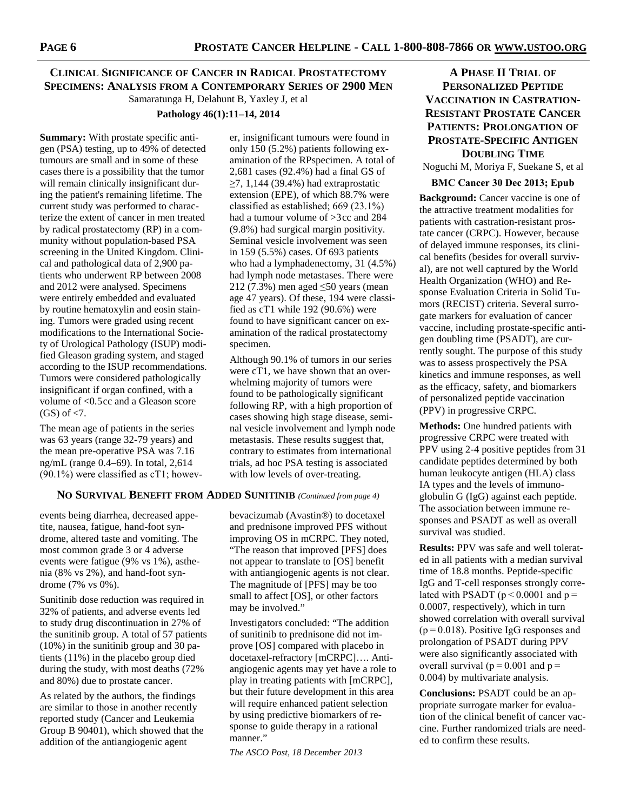# **CLINICAL SIGNIFICANCE OF CANCER IN RADICAL PROSTATECTOMY SPECIMENS: ANALYSIS FROM A CONTEMPORARY SERIES OF 2900 MEN** Samaratunga H, Delahunt B, Yaxley J, et al

## **Pathology 46(1):11–14, 2014**

**Summary:** With prostate specific antigen (PSA) testing, up to 49% of detected tumours are small and in some of these cases there is a possibility that the tumor will remain clinically insignificant during the patient's remaining lifetime. The current study was performed to characterize the extent of cancer in men treated by radical prostatectomy (RP) in a community without population-based PSA screening in the United Kingdom. Clinical and pathological data of 2,900 patients who underwent RP between 2008 and 2012 were analysed. Specimens were entirely embedded and evaluated by routine hematoxylin and eosin staining. Tumors were graded using recent modifications to the International Society of Urological Pathology (ISUP) modified Gleason grading system, and staged according to the ISUP recommendations. Tumors were considered pathologically insignificant if organ confined, with a volume of <0.5cc and a Gleason score  $(GS)$  of  $\langle 7.$ 

The mean age of patients in the series was 63 years (range 32-79 years) and the mean pre-operative PSA was 7.16 ng/mL (range 0.4–69). In total, 2,614 (90.1%) were classified as cT1; howev-

er, insignificant tumours were found in only 150 (5.2%) patients following examination of the RPspecimen. A total of 2,681 cases (92.4%) had a final GS of  $\geq$ 7, 1,144 (39.4%) had extraprostatic extension (EPE), of which 88.7% were classified as established; 669 (23.1%) had a tumour volume of >3cc and 284 (9.8%) had surgical margin positivity. Seminal vesicle involvement was seen in 159 (5.5%) cases. Of 693 patients who had a lymphadenectomy, 31 (4.5%) had lymph node metastases. There were 212 (7.3%) men aged ≤50 years (mean age 47 years). Of these, 194 were classified as cT1 while 192 (90.6%) were found to have significant cancer on examination of the radical prostatectomy specimen.

Although 90.1% of tumors in our series were cT1, we have shown that an overwhelming majority of tumors were found to be pathologically significant following RP, with a high proportion of cases showing high stage disease, seminal vesicle involvement and lymph node metastasis. These results suggest that, contrary to estimates from international trials, ad hoc PSA testing is associated with low levels of over-treating.

## **NO SURVIVAL BENEFIT FROM ADDED SUNITINIB** *(Continued from page 4)*

events being diarrhea, decreased appetite, nausea, fatigue, hand-foot syndrome, altered taste and vomiting. The most common grade 3 or 4 adverse events were fatigue (9% vs 1%), asthenia (8% vs 2%), and hand-foot syndrome (7% vs 0%).

Sunitinib dose reduction was required in 32% of patients, and adverse events led to study drug discontinuation in 27% of the sunitinib group. A total of 57 patients (10%) in the sunitinib group and 30 patients (11%) in the placebo group died during the study, with most deaths (72% and 80%) due to prostate cancer.

As related by the authors, the findings are similar to those in another recently reported study (Cancer and Leukemia Group B 90401), which showed that the addition of the antiangiogenic agent

bevacizumab (Avastin®) to docetaxel and prednisone improved PFS without improving OS in mCRPC. They noted, "The reason that improved [PFS] does not appear to translate to [OS] benefit with antiangiogenic agents is not clear. The magnitude of [PFS] may be too small to affect [OS], or other factors may be involved."

Investigators concluded: "The addition of sunitinib to prednisone did not improve [OS] compared with placebo in docetaxel-refractory [mCRPC]…. Antiangiogenic agents may yet have a role to play in treating patients with [mCRPC], but their future development in this area will require enhanced patient selection by using predictive biomarkers of response to guide therapy in a rational manner."

*The ASCO Post, 18 December 2013* 

# **A PHASE II TRIAL OF PERSONALIZED PEPTIDE VACCINATION IN CASTRATION-RESISTANT PROSTATE CANCER PATIENTS: PROLONGATION OF PROSTATE-SPECIFIC ANTIGEN DOUBLING TIME**

Noguchi M, Moriya F, Suekane S, et al

#### **BMC Cancer 30 Dec 2013; Epub**

**Background:** Cancer vaccine is one of the attractive treatment modalities for patients with castration-resistant prostate cancer (CRPC). However, because of delayed immune responses, its clinical benefits (besides for overall survival), are not well captured by the World Health Organization (WHO) and Response Evaluation Criteria in Solid Tumors (RECIST) criteria. Several surrogate markers for evaluation of cancer vaccine, including prostate-specific antigen doubling time (PSADT), are currently sought. The purpose of this study was to assess prospectively the PSA kinetics and immune responses, as well as the efficacy, safety, and biomarkers of personalized peptide vaccination (PPV) in progressive CRPC.

**Methods:** One hundred patients with progressive CRPC were treated with PPV using 2-4 positive peptides from 31 candidate peptides determined by both human leukocyte antigen (HLA) class IA types and the levels of immunoglobulin G (IgG) against each peptide. The association between immune responses and PSADT as well as overall survival was studied.

**Results:** PPV was safe and well tolerated in all patients with a median survival time of 18.8 months. Peptide-specific IgG and T-cell responses strongly correlated with PSADT ( $p \le 0.0001$  and  $p =$ 0.0007, respectively), which in turn showed correlation with overall survival (p = 0.018). Positive IgG responses and prolongation of PSADT during PPV were also significantly associated with overall survival ( $p = 0.001$  and  $p =$ 0.004) by multivariate analysis.

**Conclusions:** PSADT could be an appropriate surrogate marker for evaluation of the clinical benefit of cancer vaccine. Further randomized trials are needed to confirm these results.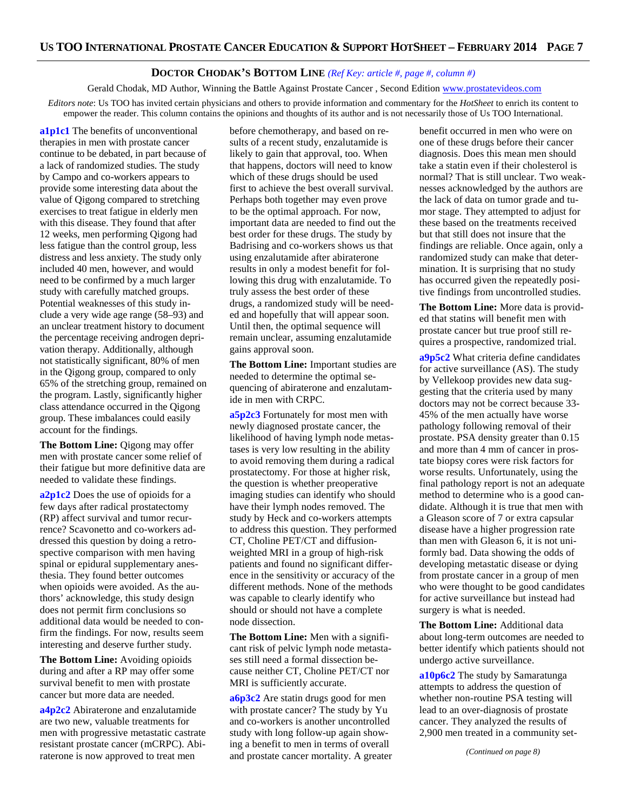# **DOCTOR CHODAK'S BOTTOM LINE** *(Ref Key: article #, page #, column #)*

Gerald Chodak, MD Author, Winning the Battle Against Prostate Cancer, Second Edition www.prostatevideos.com *Editors note*: Us TOO has invited certain physicians and others to provide information and commentary for the *HotSheet* to enrich its content to empower the reader. This column contains the opinions and thoughts of its author and is not necessarily those of Us TOO International.

**a1p1c1** The benefits of unconventional therapies in men with prostate cancer continue to be debated, in part because of a lack of randomized studies. The study by Campo and co-workers appears to provide some interesting data about the value of Qigong compared to stretching exercises to treat fatigue in elderly men with this disease. They found that after 12 weeks, men performing Qigong had less fatigue than the control group, less distress and less anxiety. The study only included 40 men, however, and would need to be confirmed by a much larger study with carefully matched groups. Potential weaknesses of this study include a very wide age range (58–93) and an unclear treatment history to document the percentage receiving androgen deprivation therapy. Additionally, although not statistically significant, 80% of men in the Qigong group, compared to only 65% of the stretching group, remained on the program. Lastly, significantly higher class attendance occurred in the Qigong group. These imbalances could easily account for the findings.

**The Bottom Line:** Qigong may offer men with prostate cancer some relief of their fatigue but more definitive data are needed to validate these findings.

**a2p1c2** Does the use of opioids for a few days after radical prostatectomy (RP) affect survival and tumor recurrence? Scavonetto and co-workers addressed this question by doing a retrospective comparison with men having spinal or epidural supplementary anesthesia. They found better outcomes when opioids were avoided. As the authors' acknowledge, this study design does not permit firm conclusions so additional data would be needed to confirm the findings. For now, results seem interesting and deserve further study.

**The Bottom Line:** Avoiding opioids during and after a RP may offer some survival benefit to men with prostate cancer but more data are needed.

**a4p2c2** Abiraterone and enzalutamide are two new, valuable treatments for men with progressive metastatic castrate resistant prostate cancer (mCRPC). Abiraterone is now approved to treat men

before chemotherapy, and based on results of a recent study, enzalutamide is likely to gain that approval, too. When that happens, doctors will need to know which of these drugs should be used first to achieve the best overall survival. Perhaps both together may even prove to be the optimal approach. For now, important data are needed to find out the best order for these drugs. The study by Badrising and co-workers shows us that using enzalutamide after abiraterone results in only a modest benefit for following this drug with enzalutamide. To truly assess the best order of these drugs, a randomized study will be needed and hopefully that will appear soon. Until then, the optimal sequence will remain unclear, assuming enzalutamide gains approval soon.

**The Bottom Line:** Important studies are needed to determine the optimal sequencing of abiraterone and enzalutamide in men with CRPC.

**a5p2c3** Fortunately for most men with newly diagnosed prostate cancer, the likelihood of having lymph node metastases is very low resulting in the ability to avoid removing them during a radical prostatectomy. For those at higher risk, the question is whether preoperative imaging studies can identify who should have their lymph nodes removed. The study by Heck and co-workers attempts to address this question. They performed CT, Choline PET/CT and diffusionweighted MRI in a group of high-risk patients and found no significant difference in the sensitivity or accuracy of the different methods. None of the methods was capable to clearly identify who should or should not have a complete node dissection.

**The Bottom Line:** Men with a significant risk of pelvic lymph node metastases still need a formal dissection because neither CT, Choline PET/CT nor MRI is sufficiently accurate.

**a6p3c2** Are statin drugs good for men with prostate cancer? The study by Yu and co-workers is another uncontrolled study with long follow-up again showing a benefit to men in terms of overall and prostate cancer mortality. A greater benefit occurred in men who were on one of these drugs before their cancer diagnosis. Does this mean men should take a statin even if their cholesterol is normal? That is still unclear. Two weaknesses acknowledged by the authors are the lack of data on tumor grade and tumor stage. They attempted to adjust for these based on the treatments received but that still does not insure that the findings are reliable. Once again, only a randomized study can make that determination. It is surprising that no study has occurred given the repeatedly positive findings from uncontrolled studies.

**The Bottom Line:** More data is provided that statins will benefit men with prostate cancer but true proof still requires a prospective, randomized trial.

**a9p5c2** What criteria define candidates for active surveillance (AS). The study by Vellekoop provides new data suggesting that the criteria used by many doctors may not be correct because 33- 45% of the men actually have worse pathology following removal of their prostate. PSA density greater than 0.15 and more than 4 mm of cancer in prostate biopsy cores were risk factors for worse results. Unfortunately, using the final pathology report is not an adequate method to determine who is a good candidate. Although it is true that men with a Gleason score of 7 or extra capsular disease have a higher progression rate than men with Gleason 6, it is not uniformly bad. Data showing the odds of developing metastatic disease or dying from prostate cancer in a group of men who were thought to be good candidates for active surveillance but instead had surgery is what is needed.

**The Bottom Line:** Additional data about long-term outcomes are needed to better identify which patients should not undergo active surveillance.

**a10p6c2** The study by Samaratunga attempts to address the question of whether non-routine PSA testing will lead to an over-diagnosis of prostate cancer. They analyzed the results of 2,900 men treated in a community set-

*(Continued on page 8)*